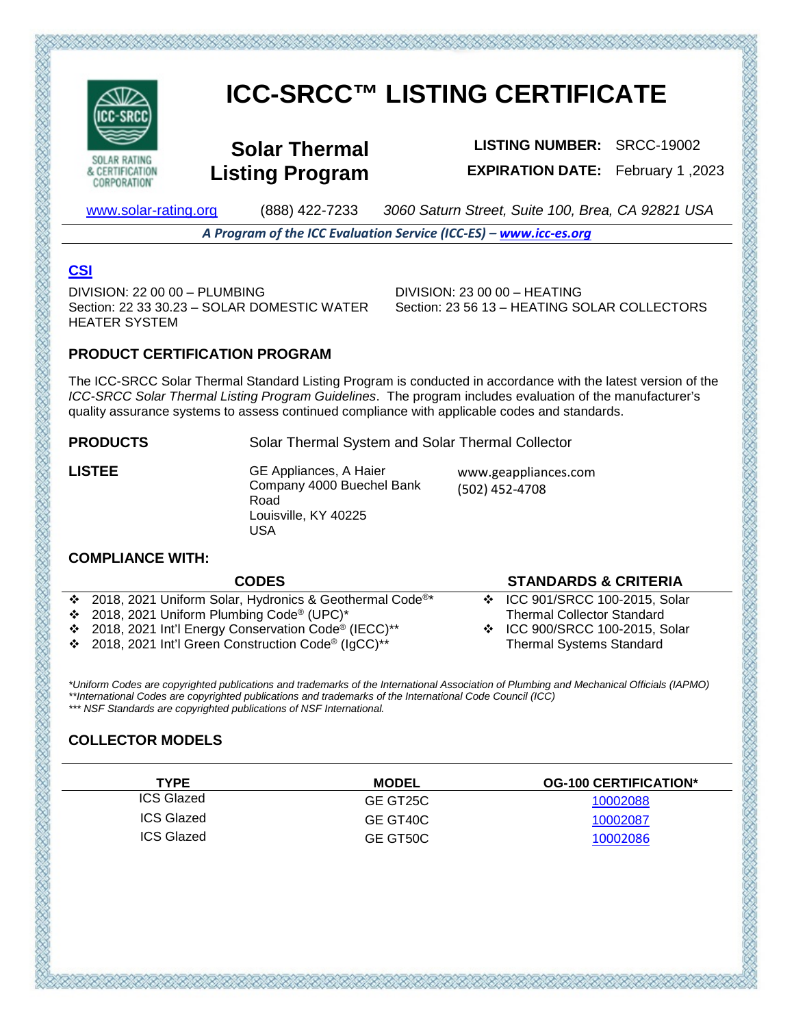

**CORPORATION** 

# **ICC-SRCC™ LISTING CERTIFICATE**

**Solar Thermal Listing Program**

**LISTING NUMBER:** SRCC-19002 **EXPIRATION DATE:** February 1 ,2023

[www.solar-rating.org](http://www.solar-rating.org/) (888) 422-7233 *3060 Saturn Street, Suite 100, Brea, CA 92821 USA*

*A Program of the ICC Evaluation Service (ICC-ES) – [www.icc-es.org](http://www.icc-es.org/)*

## **[CSI](https://www.arcat.com/)**

DIVISION: 22 00 00 – PLUMBING Section: 22 33 30.23 – SOLAR DOMESTIC WATER HEATER SYSTEM

DIVISION: 23 00 00 – HEATING Section: 23 56 13 – HEATING SOLAR COLLECTORS

## **PRODUCT CERTIFICATION PROGRAM**

The ICC-SRCC Solar Thermal Standard Listing Program is conducted in accordance with the latest version of the *ICC-SRCC Solar Thermal Listing Program Guidelines*. The program includes evaluation of the manufacturer's quality assurance systems to assess continued compliance with applicable codes and standards.

**PRODUCTS** Solar Thermal System and Solar Thermal Collector

**LISTEE GE Appliances, A Haier** Company 4000 Buechel Bank Road Louisville, KY 40225 USA

www.geappliances.com (502) 452-4708

## **COMPLIANCE WITH:**

| <b>CODES</b>                                                          | <b>STANDARDS &amp; CRITERIA</b>   |
|-----------------------------------------------------------------------|-----------------------------------|
| ❖ 2018, 2021 Uniform Solar, Hydronics & Geothermal Code <sup>®*</sup> | ❖ ICC 901/SRCC 100-2015, Solar    |
| ❖ 2018, 2021 Uniform Plumbing Code® (UPC)*                            | <b>Thermal Collector Standard</b> |
| ❖ 2018, 2021 Int'l Energy Conservation Code <sup>®</sup> (IECC)**     | ❖ ICC 900/SRCC 100-2015, Solar    |
| ❖ 2018, 2021 Int'l Green Construction Code <sup>®</sup> (IgCC)**      | <b>Thermal Systems Standard</b>   |
|                                                                       |                                   |

*\*Uniform Codes are copyrighted publications and trademarks of the International Association of Plumbing and Mechanical Officials (IAPMO) \*\*International Codes are copyrighted publications and trademarks of the International Code Council (ICC) \*\*\* NSF Standards are copyrighted publications of NSF International.*

## **COLLECTOR MODELS**

| <b>TYPE</b>       | MODEL    | <b>OG-100 CERTIFICATION*</b> |
|-------------------|----------|------------------------------|
| ICS Glazed        | GE GT25C | 10002088                     |
| <b>ICS Glazed</b> | GE GT40C | 10002087                     |
| <b>ICS Glazed</b> | GE GT50C | 10002086                     |

てだいだいだいがたいだいがたいだいがたいでんだいがただいだいだいがた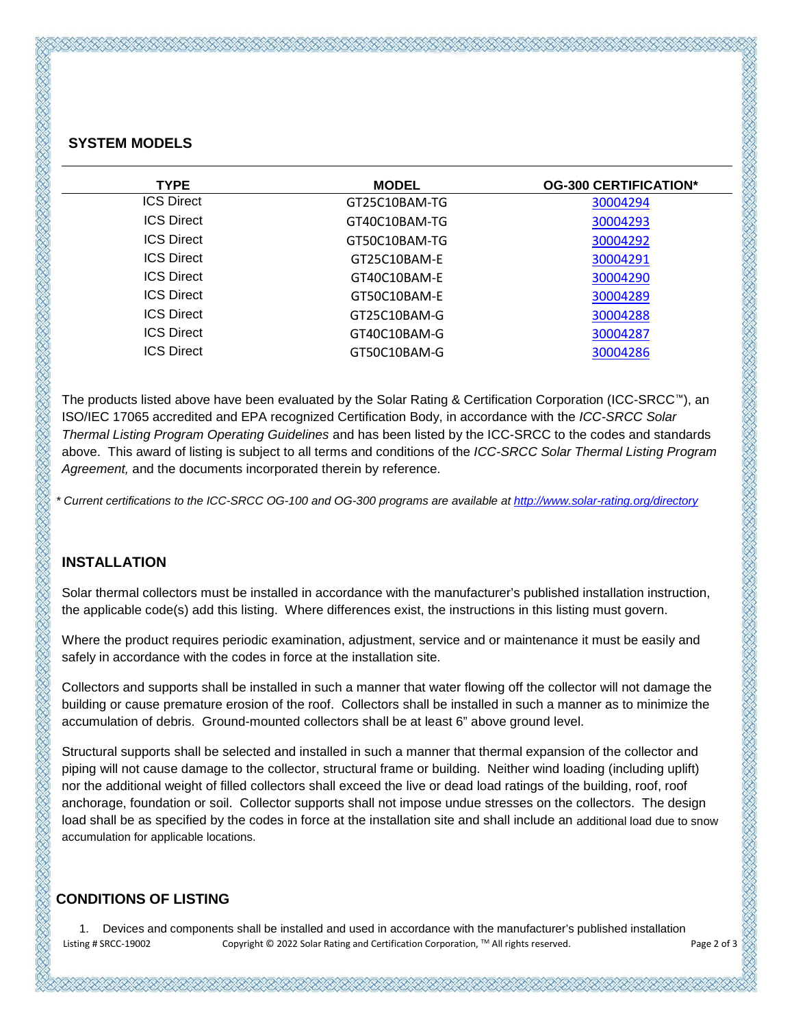### **SYSTEM MODELS**

| <b>TYPE</b>       | <b>MODEL</b>  | <b>OG-300 CERTIFICATION*</b> |
|-------------------|---------------|------------------------------|
| <b>ICS Direct</b> | GT25C10BAM-TG | 30004294                     |
| <b>ICS Direct</b> | GT40C10BAM-TG | 30004293                     |
| <b>ICS Direct</b> | GT50C10BAM-TG | 30004292                     |
| <b>ICS Direct</b> | GT25C10BAM-E  | 30004291                     |
| <b>ICS Direct</b> | GT40C10BAM-F  | 30004290                     |
| <b>ICS Direct</b> | GT50C10BAM-F  | 30004289                     |
| <b>ICS Direct</b> | GT25C10BAM-G  | 30004288                     |
| <b>ICS Direct</b> | GT40C10BAM-G  | 30004287                     |
| <b>ICS Direct</b> | GT50C10BAM-G  | 30004286                     |
|                   |               |                              |

The products listed above have been evaluated by the Solar Rating & Certification Corporation (ICC-SRCC™), an ISO/IEC 17065 accredited and EPA recognized Certification Body, in accordance with the *ICC-SRCC Solar Thermal Listing Program Operating Guidelines* and has been listed by the ICC-SRCC to the codes and standards above. This award of listing is subject to all terms and conditions of the *ICC-SRCC Solar Thermal Listing Program Agreement,* and the documents incorporated therein by reference.

*\* Current certifications to the ICC-SRCC OG-100 and OG-300 programs are available a[t http://www.solar-rating.org/directory](http://www.solar-rating.org/directory)*

#### **INSTALLATION**

Solar thermal collectors must be installed in accordance with the manufacturer's published installation instruction, the applicable code(s) add this listing. Where differences exist, the instructions in this listing must govern.

Where the product requires periodic examination, adjustment, service and or maintenance it must be easily and safely in accordance with the codes in force at the installation site.

Collectors and supports shall be installed in such a manner that water flowing off the collector will not damage the building or cause premature erosion of the roof. Collectors shall be installed in such a manner as to minimize the accumulation of debris. Ground-mounted collectors shall be at least 6" above ground level.

Structural supports shall be selected and installed in such a manner that thermal expansion of the collector and piping will not cause damage to the collector, structural frame or building. Neither wind loading (including uplift) nor the additional weight of filled collectors shall exceed the live or dead load ratings of the building, roof, roof anchorage, foundation or soil. Collector supports shall not impose undue stresses on the collectors. The design load shall be as specified by the codes in force at the installation site and shall include an additional load due to snow accumulation for applicable locations.

## **CONDITIONS OF LISTING**

 Listing # SRCC-19002 Copyright © 2022 Solar Rating and Certification Corporation, TM All rights reserved. Page 2 of 3 1. Devices and components shall be installed and used in accordance with the manufacturer's published installation